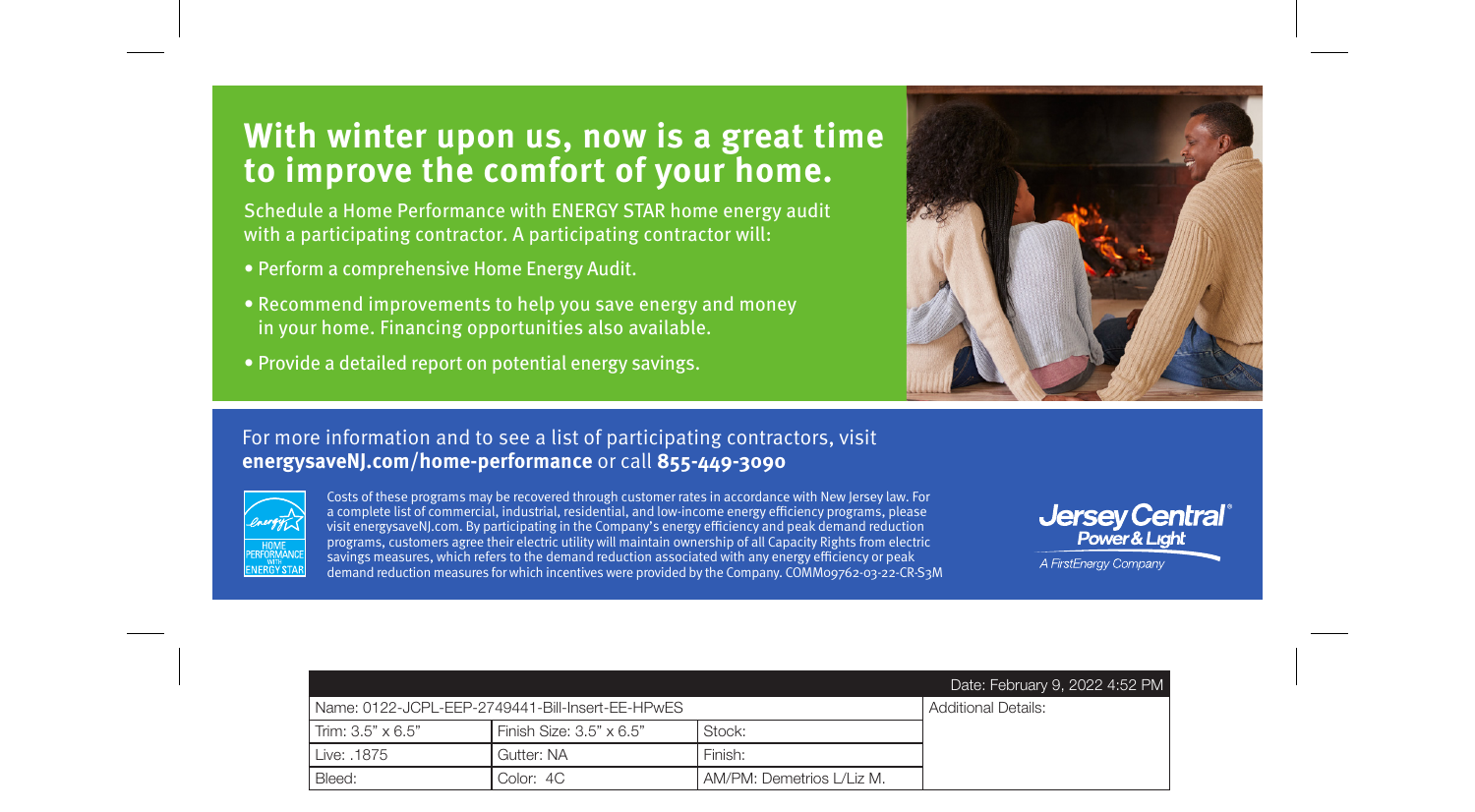### **With winter upon us, now is a great time to improve the comfort of your home.**

Schedule a Home Performance with ENERGY STAR home energy audit with a participating contractor. A participating contractor will:

- Perform a comprehensive Home Energy Audit.
- Recommend improvements to help you save energy and money in your home. Financing opportunities also available.
- Provide a detailed report on potential energy savings.



#### For more information and to see a list of participating contractors, visit **energysaveNJ.com/home-performance** or call **855-449-3090**



Costs of these programs may be recovered through customer rates in accordance with New Jersey law. For a complete list of commercial, industrial, residential, and low-income energy efficiency programs, please visit energysaveNJ.com. By participating in the Company's energy efficiency and peak demand reduction programs, customers agree their electric utility will maintain ownership of all Capacity Rights from electric savings measures, which refers to the demand reduction associated with any energy efficiency or peak demand reduction measures for which incentives were provided by the Company. COMM09762-03-22-CR-S3M

# Jersey Central<sup>®</sup><br>Power& Light

A FirstEnerav Company

|                                                  |                                 |                             | Date: February 9, 2022 4:52 PM |
|--------------------------------------------------|---------------------------------|-----------------------------|--------------------------------|
| Name: 0122-JCPL-EEP-2749441-Bill-Insert-EE-HPwES |                                 |                             | <b>Additional Details:</b>     |
| Trim: $3.5" \times 6.5"$                         | Finish Size: $3.5" \times 6.5"$ | Stock:                      |                                |
| Live: .1875                                      | Gutter: NA                      | Finish:                     |                                |
| Bleed:                                           | Color: 4C                       | AM/PM: Demetrios   /  iz M. |                                |